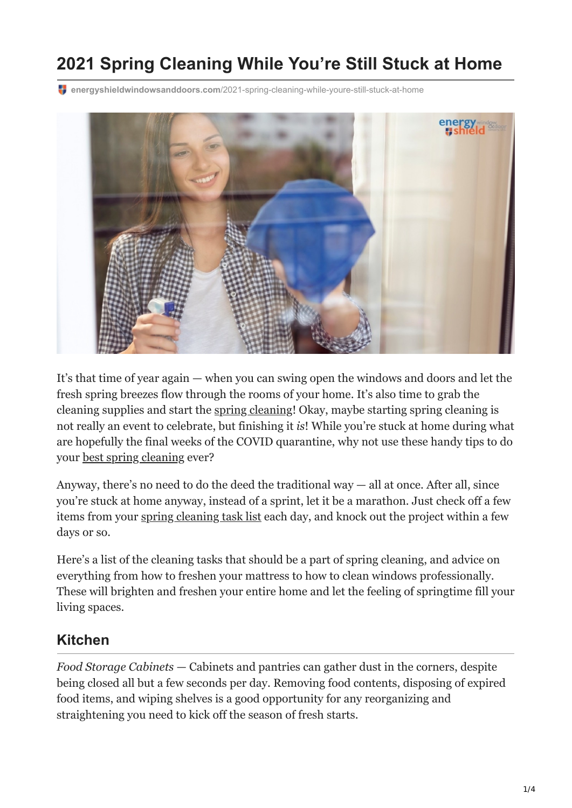# **2021 Spring Cleaning While You're Still Stuck at Home**

**energyshieldwindowsanddoors.com**[/2021-spring-cleaning-while-youre-still-stuck-at-home](https://energyshieldwindowsanddoors.com/2021-spring-cleaning-while-youre-still-stuck-at-home/)



It's that time of year again — when you can swing open the windows and doors and let the fresh spring breezes flow through the rooms of your home. It's also time to grab the cleaning supplies and start the [spring cleaning!](https://energyshieldwindowsanddoors.com/spring-cleaning-your-home-in-arizona/) Okay, maybe starting spring cleaning is not really an event to celebrate, but finishing it *is*! While you're stuck at home during what are hopefully the final weeks of the COVID quarantine, why not use these handy tips to do your [best spring cleaning](https://energyshieldwindowsanddoors.com/spring-cleaning-windows-like-a-pro/) ever?

Anyway, there's no need to do the deed the traditional way  $-$  all at once. After all, since you're stuck at home anyway, instead of a sprint, let it be a marathon. Just check off a few items from your [spring cleaning task list](https://www.usda.gov/media/blog/2018/03/14/planning-some-spring-cleaning-check-list-food-safe-pantry-and-refrigerator) each day, and knock out the project within a few days or so.

Here's a list of the cleaning tasks that should be a part of spring cleaning, and advice on everything from how to freshen your mattress to how to clean windows professionally. These will brighten and freshen your entire home and let the feeling of springtime fill your living spaces.

#### **Kitchen**

*Food Storage Cabinets* — Cabinets and pantries can gather dust in the corners, despite being closed all but a few seconds per day. Removing food contents, disposing of expired food items, and wiping shelves is a good opportunity for any reorganizing and straightening you need to kick off the season of fresh starts.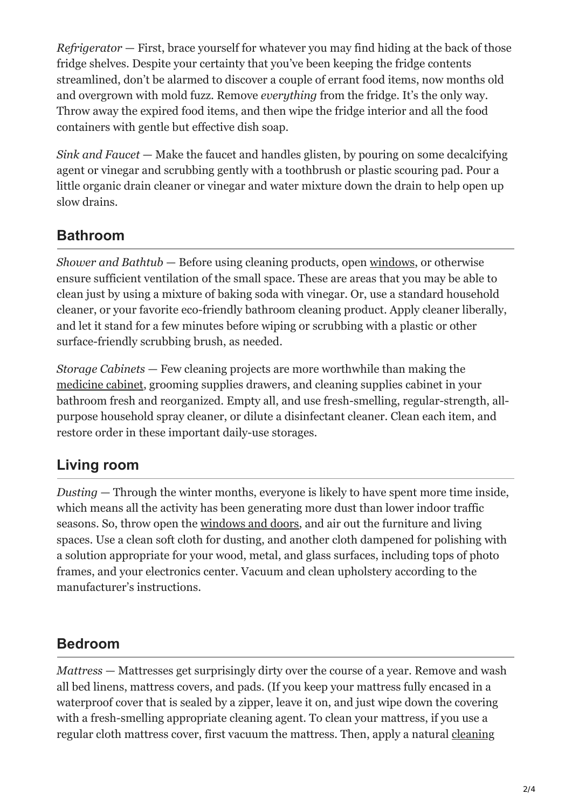*Refrigerator* — First, brace yourself for whatever you may find hiding at the back of those fridge shelves. Despite your certainty that you've been keeping the fridge contents streamlined, don't be alarmed to discover a couple of errant food items, now months old and overgrown with mold fuzz. Remove *everything* from the fridge. It's the only way. Throw away the expired food items, and then wipe the fridge interior and all the food containers with gentle but effective dish soap.

*Sink and Faucet* — Make the faucet and handles glisten, by pouring on some decalcifying agent or vinegar and scrubbing gently with a toothbrush or plastic scouring pad. Pour a little organic drain cleaner or vinegar and water mixture down the drain to help open up slow drains.

## **Bathroom**

*Shower and Bathtub* — Before using cleaning products, open [windows,](https://energyshieldwindowsanddoors.com/vinyl-windows-arizona/) or otherwise ensure sufficient ventilation of the small space. These are areas that you may be able to clean just by using a mixture of baking soda with vinegar. Or, use a standard household cleaner, or your favorite eco-friendly bathroom cleaning product. Apply cleaner liberally, and let it stand for a few minutes before wiping or scrubbing with a plastic or other surface-friendly scrubbing brush, as needed.

*Storage Cabinets* — Few cleaning projects are more worthwhile than making the [medicine cabinet](https://www.fda.gov/consumers/womens-health-topics/spring-cleaning-tips), grooming supplies drawers, and cleaning supplies cabinet in your bathroom fresh and reorganized. Empty all, and use fresh-smelling, regular-strength, allpurpose household spray cleaner, or dilute a disinfectant cleaner. Clean each item, and restore order in these important daily-use storages.

## **Living room**

*Dusting* — Through the winter months, everyone is likely to have spent more time inside, which means all the activity has been generating more dust than lower indoor traffic seasons. So, throw open the [windows and doors](https://energyshieldwindowsanddoors.com/), and air out the furniture and living spaces. Use a clean soft cloth for dusting, and another cloth dampened for polishing with a solution appropriate for your wood, metal, and glass surfaces, including tops of photo frames, and your electronics center. Vacuum and clean upholstery according to the manufacturer's instructions.

#### **Bedroom**

*Mattress* — Mattresses get surprisingly dirty over the course of a year. Remove and wash all bed linens, mattress covers, and pads. (If you keep your mattress fully encased in a waterproof cover that is sealed by a zipper, leave it on, and just wipe down the covering with a fresh-smelling appropriate cleaning agent. To clean your mattress, if you use a [regular cloth mattress cover, first vacuum the mattress. Then, apply a natural cleaning](https://www.sleepfoundation.org/mattress-information/how-to-clean-a-mattress)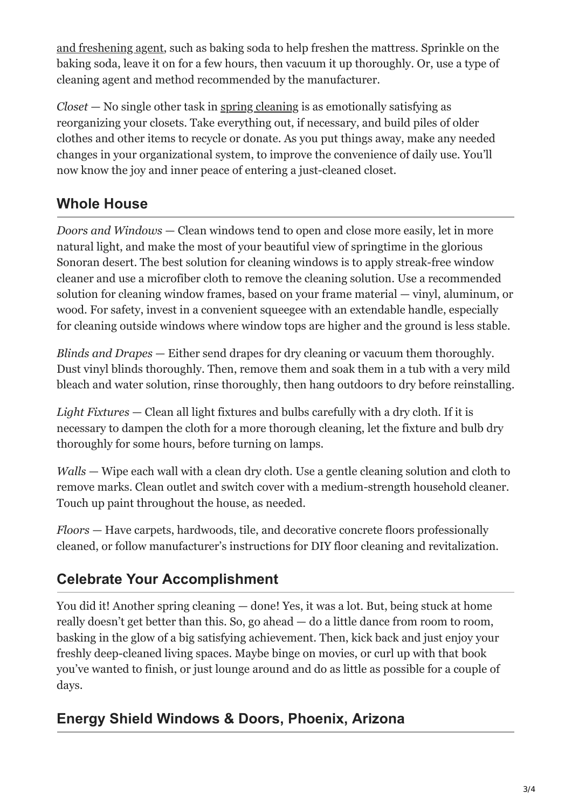[and freshening agent, such as baking soda to help freshen the mattress. Sprinkle on the](https://www.sleepfoundation.org/mattress-information/how-to-clean-a-mattress) baking soda, leave it on for a few hours, then vacuum it up thoroughly. Or, use a type of cleaning agent and method recommended by the manufacturer.

*Closet* — No single other task in [spring cleaning](https://www.goodhousekeeping.com/home/cleaning/g3345/spring-cleaning-tips/) is as emotionally satisfying as reorganizing your closets. Take everything out, if necessary, and build piles of older clothes and other items to recycle or donate. As you put things away, make any needed changes in your organizational system, to improve the convenience of daily use. You'll now know the joy and inner peace of entering a just-cleaned closet.

### **Whole House**

*Doors and Windows* — Clean windows tend to open and close more easily, let in more natural light, and make the most of your beautiful view of springtime in the glorious Sonoran desert. The best solution for cleaning windows is to apply streak-free window cleaner and use a microfiber cloth to remove the cleaning solution. Use a recommended solution for cleaning window frames, based on your frame material — vinyl, aluminum, or wood. For safety, invest in a convenient squeegee with an extendable handle, especially for cleaning outside windows where window tops are higher and the ground is less stable.

*Blinds and Drapes* — Either send drapes for dry cleaning or vacuum them thoroughly. Dust vinyl blinds thoroughly. Then, remove them and soak them in a tub with a very mild bleach and water solution, rinse thoroughly, then hang outdoors to dry before reinstalling.

*Light Fixtures* — Clean all light fixtures and bulbs carefully with a dry cloth. If it is necessary to dampen the cloth for a more thorough cleaning, let the fixture and bulb dry thoroughly for some hours, before turning on lamps.

*Walls* — Wipe each wall with a clean dry cloth. Use a gentle cleaning solution and cloth to remove marks. Clean outlet and switch cover with a medium-strength household cleaner. Touch up paint throughout the house, as needed.

*Floors* — Have carpets, hardwoods, tile, and decorative concrete floors professionally cleaned, or follow manufacturer's instructions for DIY floor cleaning and revitalization.

## **Celebrate Your Accomplishment**

You did it! Another spring cleaning — done! Yes, it was a lot. But, being stuck at home really doesn't get better than this. So, go ahead — do a little dance from room to room, basking in the glow of a big satisfying achievement. Then, kick back and just enjoy your freshly deep-cleaned living spaces. Maybe binge on movies, or curl up with that book you've wanted to finish, or just lounge around and do as little as possible for a couple of days.

## **Energy Shield Windows & Doors, Phoenix, Arizona**